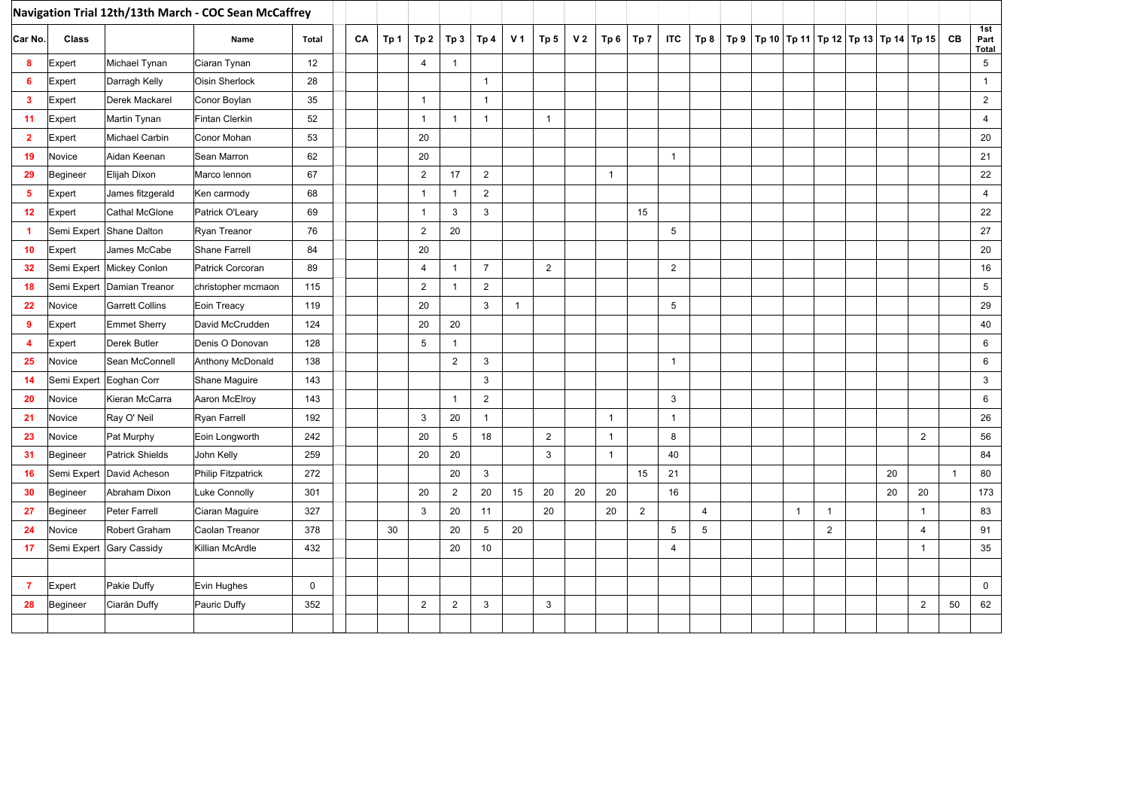| Navigation Trial 12th/13th March - COC Sean McCaffrey |                         |                             |                      |             |    |      |                 |                 |                |                |                 |                |                |                |                |                |  |              |                |                                                      |                |              |                      |
|-------------------------------------------------------|-------------------------|-----------------------------|----------------------|-------------|----|------|-----------------|-----------------|----------------|----------------|-----------------|----------------|----------------|----------------|----------------|----------------|--|--------------|----------------|------------------------------------------------------|----------------|--------------|----------------------|
| Car No.                                               | <b>Class</b>            |                             | Name                 | Total       | CA | Tp 1 | Tp <sub>2</sub> | Tp <sub>3</sub> | Tp 4           | V <sub>1</sub> | Tp <sub>5</sub> | V <sub>2</sub> | Tp 6           | Tp 7           | <b>ITC</b>     | Tp 8           |  |              |                | Tp 9   Tp 10   Tp 11   Tp 12   Tp 13   Tp 14   Tp 15 |                | CB           | 1st<br>Part<br>Total |
| 8                                                     | Expert                  | Michael Tynan               | Ciaran Tynan         | 12          |    |      | $\overline{4}$  | $\overline{1}$  |                |                |                 |                |                |                |                |                |  |              |                |                                                      |                |              | 5                    |
| 6                                                     | Expert                  | Darragh Kelly               | Oisin Sherlock       | 28          |    |      |                 |                 | $\overline{1}$ |                |                 |                |                |                |                |                |  |              |                |                                                      |                |              | $\overline{1}$       |
| $\mathbf{3}$                                          | Expert                  | Derek Mackarel              | Conor Boylan         | 35          |    |      | $\mathbf{1}$    |                 | $\overline{1}$ |                |                 |                |                |                |                |                |  |              |                |                                                      |                |              | $\overline{2}$       |
| 11                                                    | Expert                  | Martin Tynan                | Fintan Clerkin       | 52          |    |      | $\mathbf{1}$    | $\overline{1}$  | $\overline{1}$ |                | $\overline{1}$  |                |                |                |                |                |  |              |                |                                                      |                |              | $\overline{4}$       |
| $\overline{2}$                                        | Expert                  | Michael Carbin              | Conor Mohan          | 53          |    |      | 20              |                 |                |                |                 |                |                |                |                |                |  |              |                |                                                      |                |              | 20                   |
| 19                                                    | Novice                  | Aidan Keenan                | Sean Marron          | 62          |    |      | 20              |                 |                |                |                 |                |                |                | $\mathbf{1}$   |                |  |              |                |                                                      |                |              | 21                   |
| 29                                                    | Begineer                | Elijah Dixon                | Marco lennon         | 67          |    |      | $\overline{2}$  | 17              | $\overline{2}$ |                |                 |                | $\overline{1}$ |                |                |                |  |              |                |                                                      |                |              | 22                   |
| 5                                                     | Expert                  | James fitzgerald            | Ken carmody          | 68          |    |      | $\mathbf{1}$    | $\mathbf{1}$    | $\overline{2}$ |                |                 |                |                |                |                |                |  |              |                |                                                      |                |              | $\overline{4}$       |
| 12                                                    | Expert                  | Cathal McGlone              | Patrick O'Leary      | 69          |    |      | $\mathbf{1}$    | 3               | 3              |                |                 |                |                | 15             |                |                |  |              |                |                                                      |                |              | 22                   |
| $\overline{1}$                                        |                         | Semi Expert Shane Dalton    | Ryan Treanor         | 76          |    |      | $\overline{2}$  | 20              |                |                |                 |                |                |                | 5              |                |  |              |                |                                                      |                |              | 27                   |
| 10                                                    | Expert                  | James McCabe                | <b>Shane Farrell</b> | 84          |    |      | 20              |                 |                |                |                 |                |                |                |                |                |  |              |                |                                                      |                |              | 20                   |
| 32                                                    |                         | Semi Expert Mickey Conlon   | Patrick Corcoran     | 89          |    |      | 4               | $\overline{1}$  | $\overline{7}$ |                | $\overline{2}$  |                |                |                | $\overline{2}$ |                |  |              |                |                                                      |                |              | 16                   |
| 18                                                    |                         | Semi Expert  Damian Treanor | christopher mcmaon   | 115         |    |      | $\overline{2}$  | $\overline{1}$  | $\overline{2}$ |                |                 |                |                |                |                |                |  |              |                |                                                      |                |              | 5                    |
| 22                                                    | Novice                  | <b>Garrett Collins</b>      | Eoin Treacy          | 119         |    |      | 20              |                 | 3              | $\mathbf{1}$   |                 |                |                |                | 5              |                |  |              |                |                                                      |                |              | 29                   |
| 9                                                     | Expert                  | <b>Emmet Sherry</b>         | David McCrudden      | 124         |    |      | 20              | 20              |                |                |                 |                |                |                |                |                |  |              |                |                                                      |                |              | 40                   |
| 4                                                     | Expert                  | <b>Derek Butler</b>         | Denis O Donovan      | 128         |    |      | 5               | $\mathbf{1}$    |                |                |                 |                |                |                |                |                |  |              |                |                                                      |                |              | 6                    |
| 25                                                    | Novice                  | Sean McConnell              | Anthony McDonald     | 138         |    |      |                 | 2               | 3              |                |                 |                |                |                | $\overline{1}$ |                |  |              |                |                                                      |                |              | 6                    |
| 14                                                    | Semi Expert Eoghan Corr |                             | Shane Maguire        | 143         |    |      |                 |                 | 3              |                |                 |                |                |                |                |                |  |              |                |                                                      |                |              | 3                    |
| 20                                                    | Novice                  | Kieran McCarra              | Aaron McElroy        | 143         |    |      |                 | $\overline{1}$  | $\overline{c}$ |                |                 |                |                |                | 3              |                |  |              |                |                                                      |                |              | 6                    |
| 21                                                    | Novice                  | Ray O' Neil                 | Ryan Farrell         | 192         |    |      | 3               | 20              | $\overline{1}$ |                |                 |                | $\mathbf{1}$   |                | $\mathbf{1}$   |                |  |              |                |                                                      |                |              | 26                   |
| 23                                                    | Novice                  | Pat Murphy                  | Eoin Longworth       | 242         |    |      | 20              | $5\phantom{.0}$ | 18             |                | $\overline{2}$  |                | $\mathbf{1}$   |                | 8              |                |  |              |                |                                                      | $\overline{2}$ |              | 56                   |
| 31                                                    | Begineer                | <b>Patrick Shields</b>      | John Kelly           | 259         |    |      | 20              | 20              |                |                | $\mathbf{3}$    |                | $\overline{1}$ |                | 40             |                |  |              |                |                                                      |                |              | 84                   |
| 16                                                    | Semi Expert             | David Acheson               | Philip Fitzpatrick   | 272         |    |      |                 | 20              | 3              |                |                 |                |                | 15             | 21             |                |  |              |                | 20                                                   |                | $\mathbf{1}$ | 80                   |
| 30                                                    | Begineer                | Abraham Dixon               | Luke Connolly        | 301         |    |      | 20              | $\overline{2}$  | 20             | 15             | 20              | 20             | 20             |                | 16             |                |  |              |                | 20                                                   | 20             |              | 173                  |
| 27                                                    | Begineer                | <b>Peter Farrell</b>        | Ciaran Maguire       | 327         |    |      | 3               | 20              | 11             |                | 20              |                | 20             | $\overline{2}$ |                | $\overline{4}$ |  | $\mathbf{1}$ | $\mathbf{1}$   |                                                      | $\mathbf{1}$   |              | 83                   |
| 24                                                    | Novice                  | Robert Graham               | Caolan Treanor       | 378         |    | 30   |                 | 20              | 5              | 20             |                 |                |                |                | 5              | 5              |  |              | $\overline{2}$ |                                                      | $\overline{4}$ |              | 91                   |
| 17                                                    |                         | Semi Expert Gary Cassidy    | Killian McArdle      | 432         |    |      |                 | 20              | 10             |                |                 |                |                |                | 4              |                |  |              |                |                                                      | $\mathbf{1}$   |              | 35                   |
|                                                       |                         |                             |                      |             |    |      |                 |                 |                |                |                 |                |                |                |                |                |  |              |                |                                                      |                |              |                      |
| $\overline{7}$                                        | Expert                  | Pakie Duffy                 | Evin Hughes          | $\mathbf 0$ |    |      |                 |                 |                |                |                 |                |                |                |                |                |  |              |                |                                                      |                |              | $\mathbf 0$          |
| 28                                                    | Begineer                | Ciarán Duffy                | Pauric Duffy         | 352         |    |      | $\overline{2}$  | $\overline{2}$  | 3              |                | 3               |                |                |                |                |                |  |              |                |                                                      | $\overline{2}$ | 50           | 62                   |
|                                                       |                         |                             |                      |             |    |      |                 |                 |                |                |                 |                |                |                |                |                |  |              |                |                                                      |                |              |                      |